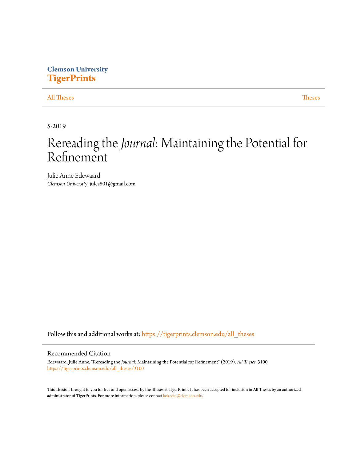## **Clemson University [TigerPrints](https://tigerprints.clemson.edu?utm_source=tigerprints.clemson.edu%2Fall_theses%2F3100&utm_medium=PDF&utm_campaign=PDFCoverPages)**

[All Theses](https://tigerprints.clemson.edu/all_theses?utm_source=tigerprints.clemson.edu%2Fall_theses%2F3100&utm_medium=PDF&utm_campaign=PDFCoverPages) **[Theses](https://tigerprints.clemson.edu/theses?utm_source=tigerprints.clemson.edu%2Fall_theses%2F3100&utm_medium=PDF&utm_campaign=PDFCoverPages)** 

5-2019

# Rereading the*Journal*: Maintaining the Potential for Refinement

Julie Anne Edewaard *Clemson University*, jules801@gmail.com

Follow this and additional works at: [https://tigerprints.clemson.edu/all\\_theses](https://tigerprints.clemson.edu/all_theses?utm_source=tigerprints.clemson.edu%2Fall_theses%2F3100&utm_medium=PDF&utm_campaign=PDFCoverPages)

#### Recommended Citation

Edewaard, Julie Anne, "Rereading the *Journal*: Maintaining the Potential for Refinement" (2019). *All Theses*. 3100. [https://tigerprints.clemson.edu/all\\_theses/3100](https://tigerprints.clemson.edu/all_theses/3100?utm_source=tigerprints.clemson.edu%2Fall_theses%2F3100&utm_medium=PDF&utm_campaign=PDFCoverPages)

This Thesis is brought to you for free and open access by the Theses at TigerPrints. It has been accepted for inclusion in All Theses by an authorized administrator of TigerPrints. For more information, please contact [kokeefe@clemson.edu](mailto:kokeefe@clemson.edu).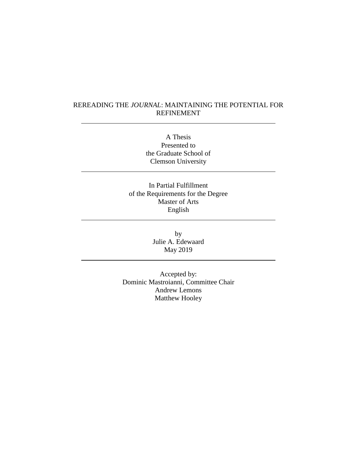#### REREADING THE *JOURNAL*: MAINTAINING THE POTENTIAL FOR REFINEMENT

A Thesis Presented to the Graduate School of Clemson University

In Partial Fulfillment of the Requirements for the Degree Master of Arts English

> by Julie A. Edewaard May 2019

Accepted by: Dominic Mastroianni, Committee Chair Andrew Lemons Matthew Hooley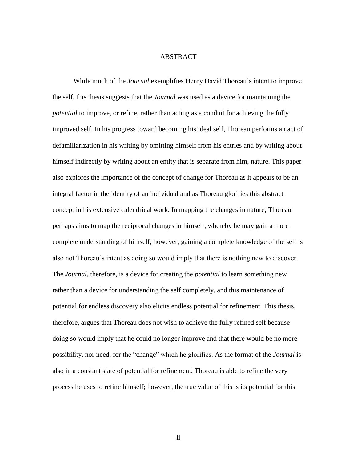#### ABSTRACT

While much of the *Journal* exemplifies Henry David Thoreau's intent to improve the self, this thesis suggests that the *Journal* was used as a device for maintaining the *potential* to improve, or refine, rather than acting as a conduit for achieving the fully improved self. In his progress toward becoming his ideal self, Thoreau performs an act of defamiliarization in his writing by omitting himself from his entries and by writing about himself indirectly by writing about an entity that is separate from him, nature. This paper also explores the importance of the concept of change for Thoreau as it appears to be an integral factor in the identity of an individual and as Thoreau glorifies this abstract concept in his extensive calendrical work. In mapping the changes in nature, Thoreau perhaps aims to map the reciprocal changes in himself, whereby he may gain a more complete understanding of himself; however, gaining a complete knowledge of the self is also not Thoreau's intent as doing so would imply that there is nothing new to discover. The *Journal*, therefore, is a device for creating the *potential* to learn something new rather than a device for understanding the self completely, and this maintenance of potential for endless discovery also elicits endless potential for refinement. This thesis, therefore, argues that Thoreau does not wish to achieve the fully refined self because doing so would imply that he could no longer improve and that there would be no more possibility, nor need, for the "change" which he glorifies. As the format of the *Journal* is also in a constant state of potential for refinement, Thoreau is able to refine the very process he uses to refine himself; however, the true value of this is its potential for this

ii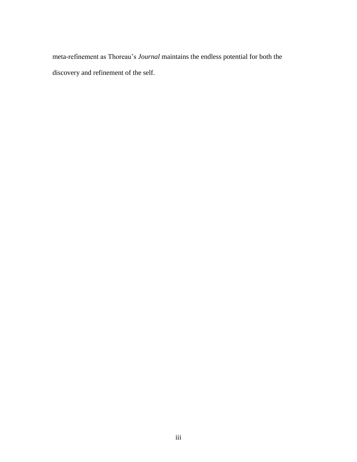meta-refinement as Thoreau's *Journal* maintains the endless potential for both the discovery and refinement of the self.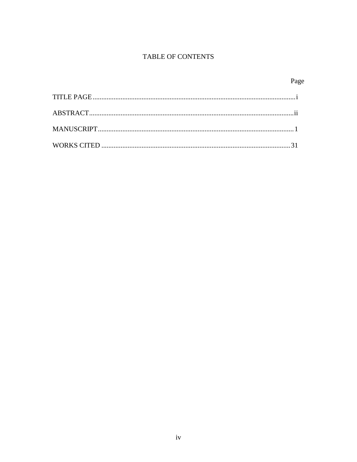## TABLE OF CONTENTS

## Page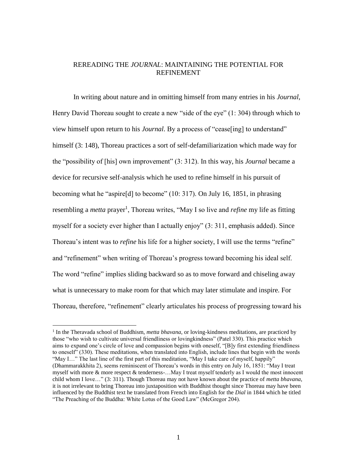### REREADING THE *JOURNAL*: MAINTAINING THE POTENTIAL FOR REFINEMENT

In writing about nature and in omitting himself from many entries in his *Journal*, Henry David Thoreau sought to create a new "side of the eye" (1: 304) through which to view himself upon return to his *Journal*. By a process of "cease[ing] to understand" himself (3: 148), Thoreau practices a sort of self-defamiliarization which made way for the "possibility of [his] own improvement" (3: 312). In this way, his *Journal* became a device for recursive self-analysis which he used to refine himself in his pursuit of becoming what he "aspire[d] to become" (10: 317). On July 16, 1851, in phrasing resembling a *metta* prayer<sup>1</sup>, Thoreau writes, "May I so live and *refine* my life as fitting myself for a society ever higher than I actually enjoy" (3: 311, emphasis added). Since Thoreau's intent was to *refine* his life for a higher society, I will use the terms "refine" and "refinement" when writing of Thoreau's progress toward becoming his ideal self. The word "refine" implies sliding backward so as to move forward and chiseling away what is unnecessary to make room for that which may later stimulate and inspire. For Thoreau, therefore, "refinement" clearly articulates his process of progressing toward his

<sup>&</sup>lt;sup>1</sup> In the Theravada school of Buddhism, *metta bhavana*, or loving-kindness meditations, are practiced by those "who wish to cultivate universal friendliness or lovingkindness" (Patel 330). This practice which aims to expand one's circle of love and compassion begins with oneself, "[B]y first extending friendliness to oneself" (330). These meditations, when translated into English, include lines that begin with the words "May I…" The last line of the first part of this meditation, "May I take care of myself, happily" (Dhammarakkhita 2), seems reminiscent of Thoreau's words in this entry on July 16, 1851: "May I treat myself with more & more respect & tenderness-…May I treat myself tenderly as I would the most innocent child whom I love…" (3: 311). Though Thoreau may not have known about the practice of *metta bhavana*, it is not irrelevant to bring Thoreau into juxtaposition with Buddhist thought since Thoreau may have been influenced by the Buddhist text he translated from French into English for the *Dial* in 1844 which he titled "The Preaching of the Buddha: White Lotus of the Good Law" (McGregor 204).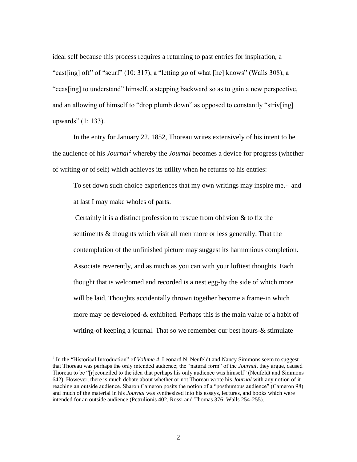ideal self because this process requires a returning to past entries for inspiration, a "cast[ing] off" of "scurf" (10: 317), a "letting go of what [he] knows" (Walls 308), a "ceas[ing] to understand" himself, a stepping backward so as to gain a new perspective, and an allowing of himself to "drop plumb down" as opposed to constantly "striv[ing] upwards" (1: 133).

In the entry for January 22, 1852, Thoreau writes extensively of his intent to be the audience of his *Journal*<sup>2</sup> whereby the *Journal* becomes a device for progress (whether of writing or of self) which achieves its utility when he returns to his entries:

To set down such choice experiences that my own writings may inspire me.- and at last I may make wholes of parts.

Certainly it is a distinct profession to rescue from oblivion & to fix the sentiments & thoughts which visit all men more or less generally. That the contemplation of the unfinished picture may suggest its harmonious completion. Associate reverently, and as much as you can with your loftiest thoughts. Each thought that is welcomed and recorded is a nest egg-by the side of which more will be laid. Thoughts accidentally thrown together become a frame-in which more may be developed-& exhibited. Perhaps this is the main value of a habit of writing-of keeping a journal. That so we remember our best hours-& stimulate

<sup>&</sup>lt;sup>2</sup> In the "Historical Introduction" of *Volume 4*, Leonard N. Neufeldt and Nancy Simmons seem to suggest that Thoreau was perhaps the only intended audience; the "natural form" of the *Journal*, they argue, caused Thoreau to be "[r]econciled to the idea that perhaps his only audience was himself" (Neufeldt and Simmons 642). However, there is much debate about whether or not Thoreau wrote his *Journal* with any notion of it reaching an outside audience. Sharon Cameron posits the notion of a "posthumous audience" (Cameron 98) and much of the material in his *Journal* was synthesized into his essays, lectures, and books which were intended for an outside audience (Petrulionis 402, Rossi and Thomas 376, Walls 254-255).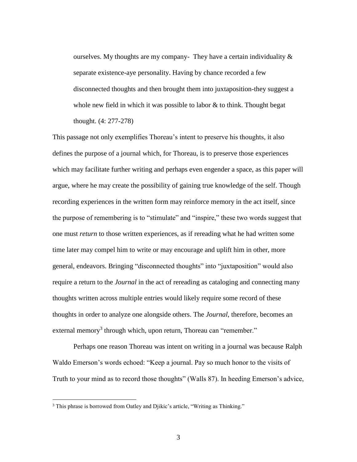ourselves. My thoughts are my company- They have a certain individuality  $\&$ separate existence-aye personality. Having by chance recorded a few disconnected thoughts and then brought them into juxtaposition-they suggest a whole new field in which it was possible to labor  $\&$  to think. Thought begat thought. (4: 277-278)

This passage not only exemplifies Thoreau's intent to preserve his thoughts, it also defines the purpose of a journal which, for Thoreau, is to preserve those experiences which may facilitate further writing and perhaps even engender a space, as this paper will argue, where he may create the possibility of gaining true knowledge of the self. Though recording experiences in the written form may reinforce memory in the act itself, since the purpose of remembering is to "stimulate" and "inspire," these two words suggest that one must *return* to those written experiences, as if rereading what he had written some time later may compel him to write or may encourage and uplift him in other, more general, endeavors. Bringing "disconnected thoughts" into "juxtaposition" would also require a return to the *Journal* in the act of rereading as cataloging and connecting many thoughts written across multiple entries would likely require some record of these thoughts in order to analyze one alongside others. The *Journal*, therefore, becomes an external memory<sup>3</sup> through which, upon return, Thoreau can "remember."

Perhaps one reason Thoreau was intent on writing in a journal was because Ralph Waldo Emerson's words echoed: "Keep a journal. Pay so much honor to the visits of Truth to your mind as to record those thoughts" (Walls 87). In heeding Emerson's advice,

<sup>&</sup>lt;sup>3</sup> This phrase is borrowed from Oatley and Djikic's article, "Writing as Thinking."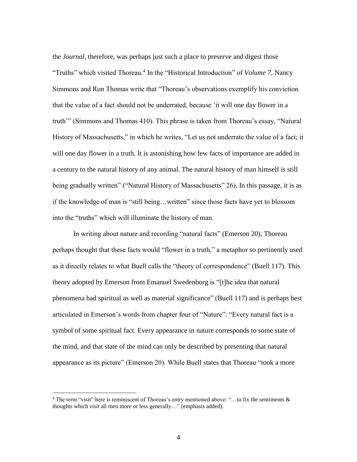the *Journal*, therefore, was perhaps just such a place to preserve and digest those "Truths" which visited Thoreau.<sup>4</sup> In the "Historical Introduction" of *Volume 7*, Nancy Simmons and Ron Thomas write that "Thoreau's observations exemplify his conviction that the value of a fact should not be underrated, because 'it will one day flower in a truth'" (Simmons and Thomas 410). This phrase is taken from Thoreau's essay, "Natural History of Massachusetts," in which he writes, "Let us not underrate the value of a fact; it will one day flower in a truth. It is astonishing how few facts of importance are added in a century to the natural history of any animal. The natural history of man himself is still being gradually written" ("Natural History of Massachusetts" 26). In this passage, it is as if the knowledge of man is "still being…written" since those facts have yet to blossom into the "truths" which will illuminate the history of man.

In writing about nature and recording "natural facts" (Emerson 20), Thoreau perhaps thought that these facts would "flower in a truth," a metaphor so pertinently used as it directly relates to what Buell calls the "theory of correspondence" (Buell 117). This theory adopted by Emerson from Emanuel Swedenborg is "[t]he idea that natural phenomena had spiritual as well as material significance" (Buell 117) and is perhaps best articulated in Emerson's words from chapter four of "Nature": "Every natural fact is a symbol of some spiritual fact. Every appearance in nature corresponds to some state of the mind, and that state of the mind can only be described by presenting that natural appearance as its picture" (Emerson 20). While Buell states that Thoreau "took a more

<sup>&</sup>lt;sup>4</sup> The term "visit" here is reminiscent of Thoreau's entry mentioned above: "...to fix the sentiments  $\&$ thoughts which *visit* all men more or less generally…" (emphasis added).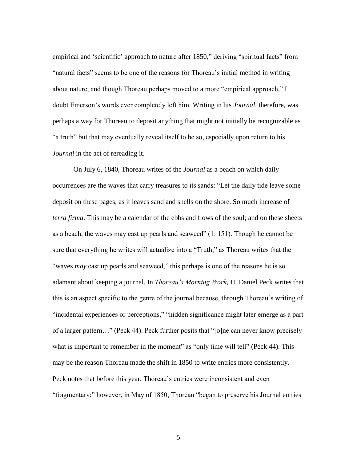empirical and 'scientific' approach to nature after 1850," deriving "spiritual facts" from "natural facts" seems to be one of the reasons for Thoreau's initial method in writing about nature, and though Thoreau perhaps moved to a more "empirical approach," I doubt Emerson's words ever completely left him. Writing in his *Journal*, therefore, was perhaps a way for Thoreau to deposit anything that might not initially be recognizable as "a truth" but that may eventually reveal itself to be so, especially upon return to his *Journal* in the act of rereading it.

On July 6, 1840, Thoreau writes of the *Journal* as a beach on which daily occurrences are the waves that carry treasures to its sands: "Let the daily tide leave some deposit on these pages, as it leaves sand and shells on the shore. So much increase of *terra firma*. This may be a calendar of the ebbs and flows of the soul; and on these sheets as a beach, the waves may cast up pearls and seaweed" (1: 151). Though he cannot be sure that everything he writes will actualize into a "Truth," as Thoreau writes that the "waves *may* cast up pearls and seaweed," this perhaps is one of the reasons he is so adamant about keeping a journal. In *Thoreau's Morning Work*, H. Daniel Peck writes that this is an aspect specific to the genre of the journal because, through Thoreau's writing of "incidental experiences or perceptions," "hidden significance might later emerge as a part of a larger pattern…" (Peck 44). Peck further posits that "[o]ne can never know precisely what is important to remember in the moment" as "only time will tell" (Peck 44). This may be the reason Thoreau made the shift in 1850 to write entries more consistently. Peck notes that before this year, Thoreau's entries were inconsistent and even "fragmentary;" however, in May of 1850, Thoreau "began to preserve his Journal entries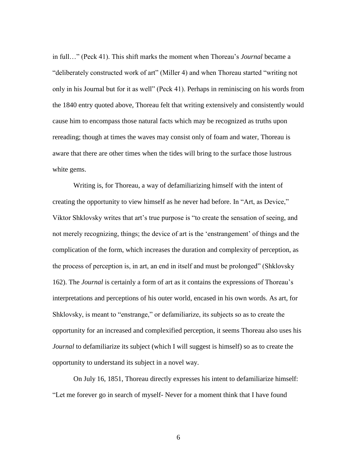in full…" (Peck 41). This shift marks the moment when Thoreau's *Journal* became a "deliberately constructed work of art" (Miller 4) and when Thoreau started "writing not only in his Journal but for it as well" (Peck 41). Perhaps in reminiscing on his words from the 1840 entry quoted above, Thoreau felt that writing extensively and consistently would cause him to encompass those natural facts which may be recognized as truths upon rereading; though at times the waves may consist only of foam and water, Thoreau is aware that there are other times when the tides will bring to the surface those lustrous white gems.

Writing is, for Thoreau, a way of defamiliarizing himself with the intent of creating the opportunity to view himself as he never had before. In "Art, as Device," Viktor Shklovsky writes that art's true purpose is "to create the sensation of seeing, and not merely recognizing, things; the device of art is the 'enstrangement' of things and the complication of the form, which increases the duration and complexity of perception, as the process of perception is, in art, an end in itself and must be prolonged" (Shklovsky 162). The *Journal* is certainly a form of art as it contains the expressions of Thoreau's interpretations and perceptions of his outer world, encased in his own words. As art, for Shklovsky, is meant to "enstrange," or defamiliarize, its subjects so as to create the opportunity for an increased and complexified perception, it seems Thoreau also uses his *Journal* to defamiliarize its subject (which I will suggest is himself) so as to create the opportunity to understand its subject in a novel way.

On July 16, 1851, Thoreau directly expresses his intent to defamiliarize himself: "Let me forever go in search of myself- Never for a moment think that I have found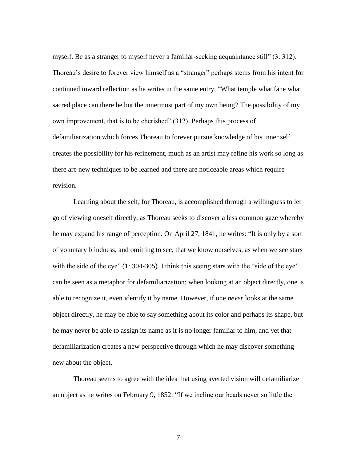myself. Be as a stranger to myself never a familiar-seeking acquaintance still" (3: 312). Thoreau's desire to forever view himself as a "stranger" perhaps stems from his intent for continued inward reflection as he writes in the same entry, "What temple what fane what sacred place can there be but the innermost part of my own being? The possibility of my own improvement, that is to be cherished" (312). Perhaps this process of defamiliarization which forces Thoreau to forever pursue knowledge of his inner self creates the possibility for his refinement, much as an artist may refine his work so long as there are new techniques to be learned and there are noticeable areas which require revision.

Learning about the self, for Thoreau, is accomplished through a willingness to let go of viewing oneself directly, as Thoreau seeks to discover a less common gaze whereby he may expand his range of perception. On April 27, 1841, he writes: "It is only by a sort of voluntary blindness, and omitting to see, that we know ourselves, as when we see stars with the side of the eye" (1: 304-305). I think this seeing stars with the "side of the eye" can be seen as a metaphor for defamiliarization; when looking at an object directly, one is able to recognize it, even identify it by name. However, if one *never* looks at the same object directly, he may be able to say something about its color and perhaps its shape, but he may never be able to assign its name as it is no longer familiar to him, and yet that defamiliarization creates a new perspective through which he may discover something new about the object.

Thoreau seems to agree with the idea that using averted vision will defamiliarize an object as he writes on February 9, 1852: "If we incline our heads never so little the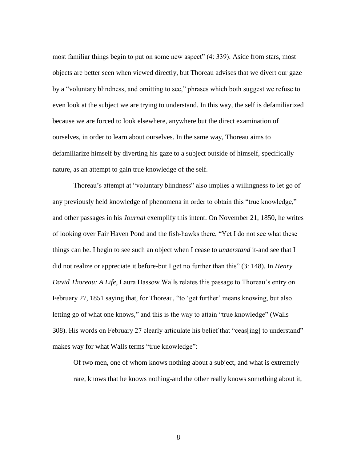most familiar things begin to put on some new aspect" (4: 339). Aside from stars, most objects are better seen when viewed directly, but Thoreau advises that we divert our gaze by a "voluntary blindness, and omitting to see," phrases which both suggest we refuse to even look at the subject we are trying to understand. In this way, the self is defamiliarized because we are forced to look elsewhere, anywhere but the direct examination of ourselves, in order to learn about ourselves. In the same way, Thoreau aims to defamiliarize himself by diverting his gaze to a subject outside of himself, specifically nature, as an attempt to gain true knowledge of the self.

Thoreau's attempt at "voluntary blindness" also implies a willingness to let go of any previously held knowledge of phenomena in order to obtain this "true knowledge," and other passages in his *Journal* exemplify this intent. On November 21, 1850, he writes of looking over Fair Haven Pond and the fish-hawks there, "Yet I do not see what these things can be. I begin to see such an object when I cease to *understand* it-and see that I did not realize or appreciate it before-but I get no further than this" (3: 148). In *Henry David Thoreau: A Life*, Laura Dassow Walls relates this passage to Thoreau's entry on February 27, 1851 saying that, for Thoreau, "to 'get further' means knowing, but also letting go of what one knows," and this is the way to attain "true knowledge" (Walls 308). His words on February 27 clearly articulate his belief that "ceas[ing] to understand" makes way for what Walls terms "true knowledge":

Of two men, one of whom knows nothing about a subject, and what is extremely rare, knows that he knows nothing-and the other really knows something about it,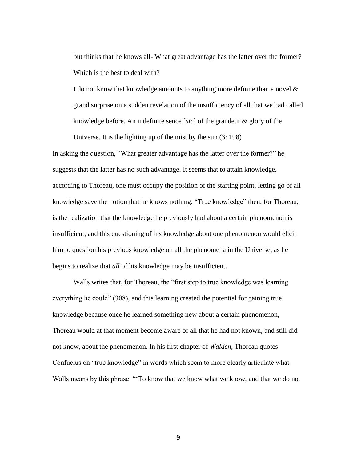but thinks that he knows all- What great advantage has the latter over the former? Which is the best to deal with?

I do not know that knowledge amounts to anything more definite than a novel & grand surprise on a sudden revelation of the insufficiency of all that we had called knowledge before. An indefinite sence [*sic*] of the grandeur & glory of the

In asking the question, "What greater advantage has the latter over the former?" he suggests that the latter has no such advantage. It seems that to attain knowledge, according to Thoreau, one must occupy the position of the starting point, letting go of all knowledge save the notion that he knows nothing. "True knowledge" then, for Thoreau, is the realization that the knowledge he previously had about a certain phenomenon is insufficient, and this questioning of his knowledge about one phenomenon would elicit him to question his previous knowledge on all the phenomena in the Universe, as he begins to realize that *all* of his knowledge may be insufficient.

Universe. It is the lighting up of the mist by the sun (3: 198)

Walls writes that, for Thoreau, the "first step to true knowledge was learning everything he could" (308), and this learning created the potential for gaining true knowledge because once he learned something new about a certain phenomenon, Thoreau would at that moment become aware of all that he had not known, and still did not know, about the phenomenon. In his first chapter of *Walden*, Thoreau quotes Confucius on "true knowledge" in words which seem to more clearly articulate what Walls means by this phrase: "'To know that we know what we know, and that we do not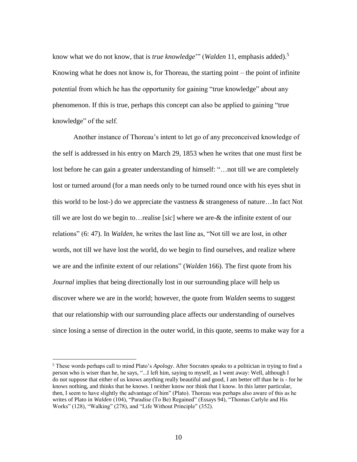know what we do not know, that is *true knowledge*'" (*Walden* 11, emphasis added).<sup>5</sup> Knowing what he does not know is, for Thoreau, the starting point – the point of infinite potential from which he has the opportunity for gaining "true knowledge" about any phenomenon. If this is true, perhaps this concept can also be applied to gaining "true knowledge" of the self.

Another instance of Thoreau's intent to let go of any preconceived knowledge of the self is addressed in his entry on March 29, 1853 when he writes that one must first be lost before he can gain a greater understanding of himself: "... not till we are completely lost or turned around (for a man needs only to be turned round once with his eyes shut in this world to be lost-) do we appreciate the vastness  $\&$  strangeness of nature... In fact Not till we are lost do we begin to…realise [*sic*] where we are-& the infinite extent of our relations" (6: 47). In *Walden*, he writes the last line as, "Not till we are lost, in other words, not till we have lost the world, do we begin to find ourselves, and realize where we are and the infinite extent of our relations" (*Walden* 166). The first quote from his *Journal* implies that being directionally lost in our surrounding place will help us discover where we are in the world; however, the quote from *Walden* seems to suggest that our relationship with our surrounding place affects our understanding of ourselves since losing a sense of direction in the outer world, in this quote, seems to make way for a

<sup>5</sup> These words perhaps call to mind Plato's *Apology*. After Socrates speaks to a politician in trying to find a person who is wiser than he, he says, "...I left him, saying to myself, as I went away: Well, although I do not suppose that either of us knows anything really beautiful and good, I am better off than he is - for he knows nothing, and thinks that he knows. I neither know nor think that I know. In this latter particular, then, I seem to have slightly the advantage of him" (Plato). Thoreau was perhaps also aware of this as he writes of Plato in *Walden* (104), "Paradise (To Be) Regained" (Essays 94), "Thomas Carlyle and His Works" (128), "Walking" (278), and "Life Without Principle" (352).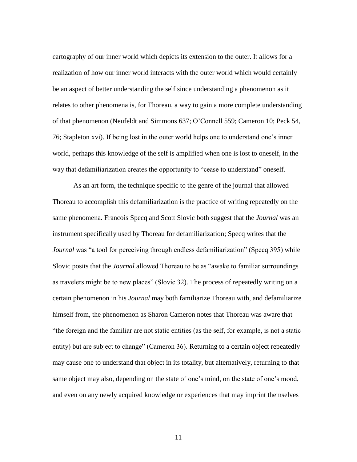cartography of our inner world which depicts its extension to the outer. It allows for a realization of how our inner world interacts with the outer world which would certainly be an aspect of better understanding the self since understanding a phenomenon as it relates to other phenomena is, for Thoreau, a way to gain a more complete understanding of that phenomenon (Neufeldt and Simmons 637; O'Connell 559; Cameron 10; Peck 54, 76; Stapleton xvi). If being lost in the outer world helps one to understand one's inner world, perhaps this knowledge of the self is amplified when one is lost to oneself, in the way that defamiliarization creates the opportunity to "cease to understand" oneself.

As an art form, the technique specific to the genre of the journal that allowed Thoreau to accomplish this defamiliarization is the practice of writing repeatedly on the same phenomena. Francois Specq and Scott Slovic both suggest that the *Journal* was an instrument specifically used by Thoreau for defamiliarization; Specq writes that the *Journal* was "a tool for perceiving through endless defamiliarization" (Specq 395) while Slovic posits that the *Journal* allowed Thoreau to be as "awake to familiar surroundings as travelers might be to new places" (Slovic 32). The process of repeatedly writing on a certain phenomenon in his *Journal* may both familiarize Thoreau with, and defamiliarize himself from, the phenomenon as Sharon Cameron notes that Thoreau was aware that "the foreign and the familiar are not static entities (as the self, for example, is not a static entity) but are subject to change" (Cameron 36). Returning to a certain object repeatedly may cause one to understand that object in its totality, but alternatively, returning to that same object may also, depending on the state of one's mind, on the state of one's mood, and even on any newly acquired knowledge or experiences that may imprint themselves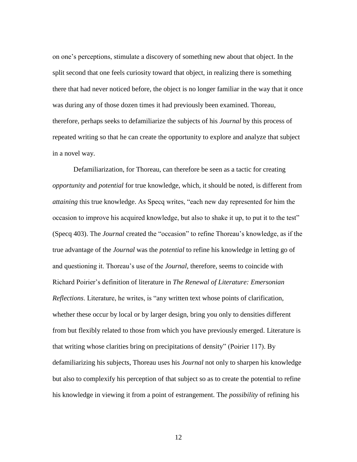on one's perceptions, stimulate a discovery of something new about that object. In the split second that one feels curiosity toward that object, in realizing there is something there that had never noticed before, the object is no longer familiar in the way that it once was during any of those dozen times it had previously been examined. Thoreau, therefore, perhaps seeks to defamiliarize the subjects of his *Journal* by this process of repeated writing so that he can create the opportunity to explore and analyze that subject in a novel way.

Defamiliarization, for Thoreau, can therefore be seen as a tactic for creating *opportunity* and *potential* for true knowledge, which, it should be noted, is different from *attaining* this true knowledge. As Specq writes, "each new day represented for him the occasion to improve his acquired knowledge, but also to shake it up, to put it to the test" (Specq 403). The *Journal* created the "occasion" to refine Thoreau's knowledge, as if the true advantage of the *Journal* was the *potential* to refine his knowledge in letting go of and questioning it. Thoreau's use of the *Journal*, therefore, seems to coincide with Richard Poirier's definition of literature in *The Renewal of Literature: Emersonian Reflections*. Literature, he writes, is "any written text whose points of clarification, whether these occur by local or by larger design, bring you only to densities different from but flexibly related to those from which you have previously emerged. Literature is that writing whose clarities bring on precipitations of density" (Poirier 117). By defamiliarizing his subjects, Thoreau uses his *Journal* not only to sharpen his knowledge but also to complexify his perception of that subject so as to create the potential to refine his knowledge in viewing it from a point of estrangement. The *possibility* of refining his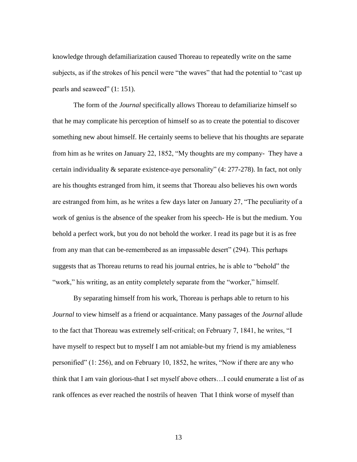knowledge through defamiliarization caused Thoreau to repeatedly write on the same subjects, as if the strokes of his pencil were "the waves" that had the potential to "cast up pearls and seaweed" (1: 151).

The form of the *Journal* specifically allows Thoreau to defamiliarize himself so that he may complicate his perception of himself so as to create the potential to discover something new about himself. He certainly seems to believe that his thoughts are separate from him as he writes on January 22, 1852, "My thoughts are my company- They have a certain individuality & separate existence-aye personality" (4: 277-278). In fact, not only are his thoughts estranged from him, it seems that Thoreau also believes his own words are estranged from him, as he writes a few days later on January 27, "The peculiarity of a work of genius is the absence of the speaker from his speech- He is but the medium. You behold a perfect work, but you do not behold the worker. I read its page but it is as free from any man that can be-remembered as an impassable desert" (294). This perhaps suggests that as Thoreau returns to read his journal entries, he is able to "behold" the "work," his writing, as an entity completely separate from the "worker," himself.

By separating himself from his work, Thoreau is perhaps able to return to his *Journal* to view himself as a friend or acquaintance. Many passages of the *Journal* allude to the fact that Thoreau was extremely self-critical; on February 7, 1841, he writes, "I have myself to respect but to myself I am not amiable-but my friend is my amiableness personified" (1: 256), and on February 10, 1852, he writes, "Now if there are any who think that I am vain glorious-that I set myself above others…I could enumerate a list of as rank offences as ever reached the nostrils of heaven That I think worse of myself than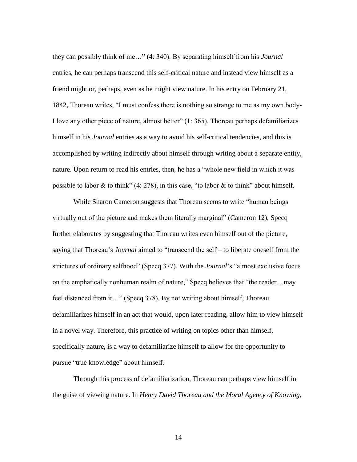they can possibly think of me…" (4: 340). By separating himself from his *Journal* entries, he can perhaps transcend this self-critical nature and instead view himself as a friend might or, perhaps, even as he might view nature. In his entry on February 21, 1842, Thoreau writes, "I must confess there is nothing so strange to me as my own body-I love any other piece of nature, almost better" (1: 365). Thoreau perhaps defamiliarizes himself in his *Journal* entries as a way to avoid his self-critical tendencies, and this is accomplished by writing indirectly about himself through writing about a separate entity, nature. Upon return to read his entries, then, he has a "whole new field in which it was possible to labor  $\&$  to think" (4: 278), in this case, "to labor  $\&$  to think" about himself.

While Sharon Cameron suggests that Thoreau seems to write "human beings virtually out of the picture and makes them literally marginal" (Cameron 12), Specq further elaborates by suggesting that Thoreau writes even himself out of the picture, saying that Thoreau's *Journal* aimed to "transcend the self – to liberate oneself from the strictures of ordinary selfhood" (Specq 377). With the *Journal*'s "almost exclusive focus on the emphatically nonhuman realm of nature," Specq believes that "the reader…may feel distanced from it…" (Specq 378). By not writing about himself, Thoreau defamiliarizes himself in an act that would, upon later reading, allow him to view himself in a novel way. Therefore, this practice of writing on topics other than himself, specifically nature, is a way to defamiliarize himself to allow for the opportunity to pursue "true knowledge" about himself.

Through this process of defamiliarization, Thoreau can perhaps view himself in the guise of viewing nature. In *Henry David Thoreau and the Moral Agency of Knowing*,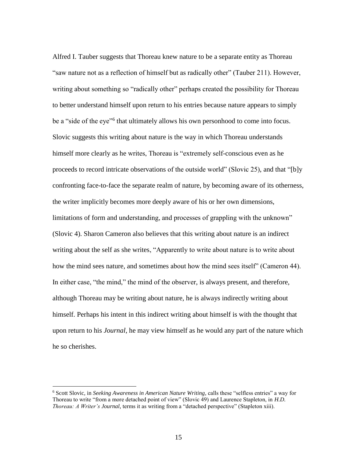Alfred I. Tauber suggests that Thoreau knew nature to be a separate entity as Thoreau "saw nature not as a reflection of himself but as radically other" (Tauber 211). However, writing about something so "radically other" perhaps created the possibility for Thoreau to better understand himself upon return to his entries because nature appears to simply be a "side of the eye"<sup>6</sup> that ultimately allows his own personhood to come into focus. Slovic suggests this writing about nature is the way in which Thoreau understands himself more clearly as he writes, Thoreau is "extremely self-conscious even as he proceeds to record intricate observations of the outside world" (Slovic 25), and that "[b]y confronting face-to-face the separate realm of nature, by becoming aware of its otherness, the writer implicitly becomes more deeply aware of his or her own dimensions, limitations of form and understanding, and processes of grappling with the unknown" (Slovic 4). Sharon Cameron also believes that this writing about nature is an indirect writing about the self as she writes, "Apparently to write about nature is to write about how the mind sees nature, and sometimes about how the mind sees itself" (Cameron 44). In either case, "the mind," the mind of the observer, is always present, and therefore, although Thoreau may be writing about nature, he is always indirectly writing about himself. Perhaps his intent in this indirect writing about himself is with the thought that upon return to his *Journal*, he may view himself as he would any part of the nature which he so cherishes.

<sup>6</sup> Scott Slovic, in *Seeking Awareness in American Nature Writing*, calls these "selfless entries" a way for Thoreau to write "from a more detached point of view" (Slovic 49) and Laurence Stapleton, in *H.D. Thoreau: A Writer's Journal*, terms it as writing from a "detached perspective" (Stapleton xiii).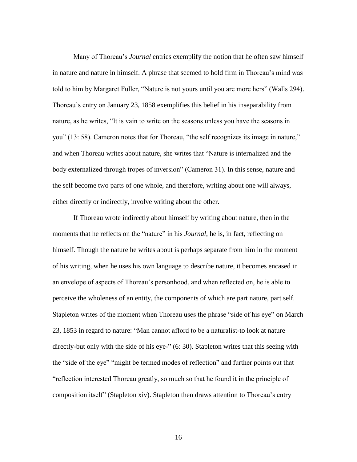Many of Thoreau's *Journal* entries exemplify the notion that he often saw himself in nature and nature in himself. A phrase that seemed to hold firm in Thoreau's mind was told to him by Margaret Fuller, "Nature is not yours until you are more hers" (Walls 294). Thoreau's entry on January 23, 1858 exemplifies this belief in his inseparability from nature, as he writes, "It is vain to write on the seasons unless you have the seasons in you" (13: 58). Cameron notes that for Thoreau, "the self recognizes its image in nature," and when Thoreau writes about nature, she writes that "Nature is internalized and the body externalized through tropes of inversion" (Cameron 31). In this sense, nature and the self become two parts of one whole, and therefore, writing about one will always, either directly or indirectly, involve writing about the other.

If Thoreau wrote indirectly about himself by writing about nature, then in the moments that he reflects on the "nature" in his *Journal*, he is, in fact, reflecting on himself. Though the nature he writes about is perhaps separate from him in the moment of his writing, when he uses his own language to describe nature, it becomes encased in an envelope of aspects of Thoreau's personhood, and when reflected on, he is able to perceive the wholeness of an entity, the components of which are part nature, part self. Stapleton writes of the moment when Thoreau uses the phrase "side of his eye" on March 23, 1853 in regard to nature: "Man cannot afford to be a naturalist-to look at nature directly-but only with the side of his eye-" (6: 30). Stapleton writes that this seeing with the "side of the eye" "might be termed modes of reflection" and further points out that "reflection interested Thoreau greatly, so much so that he found it in the principle of composition itself" (Stapleton xiv). Stapleton then draws attention to Thoreau's entry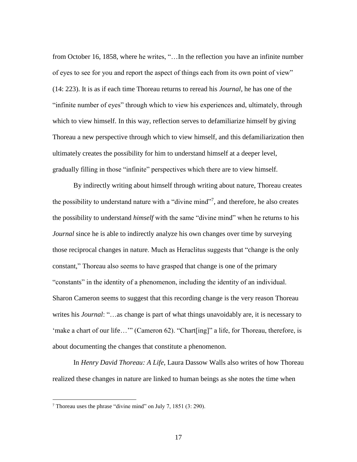from October 16, 1858, where he writes, "... In the reflection you have an infinite number of eyes to see for you and report the aspect of things each from its own point of view" (14: 223). It is as if each time Thoreau returns to reread his *Journal*, he has one of the "infinite number of eyes" through which to view his experiences and, ultimately, through which to view himself. In this way, reflection serves to defamiliarize himself by giving Thoreau a new perspective through which to view himself, and this defamiliarization then ultimately creates the possibility for him to understand himself at a deeper level, gradually filling in those "infinite" perspectives which there are to view himself.

By indirectly writing about himself through writing about nature, Thoreau creates the possibility to understand nature with a "divine mind"<sup>7</sup> , and therefore, he also creates the possibility to understand *himself* with the same "divine mind" when he returns to his *Journal* since he is able to indirectly analyze his own changes over time by surveying those reciprocal changes in nature. Much as Heraclitus suggests that "change is the only constant," Thoreau also seems to have grasped that change is one of the primary "constants" in the identity of a phenomenon, including the identity of an individual. Sharon Cameron seems to suggest that this recording change is the very reason Thoreau writes his *Journal*: "…as change is part of what things unavoidably are, it is necessary to 'make a chart of our life…'" (Cameron 62). "Chart[ing]" a life, for Thoreau, therefore, is about documenting the changes that constitute a phenomenon.

In *Henry David Thoreau: A Life*, Laura Dassow Walls also writes of how Thoreau realized these changes in nature are linked to human beings as she notes the time when

<sup>&</sup>lt;sup>7</sup> Thoreau uses the phrase "divine mind" on July 7, 1851 (3: 290).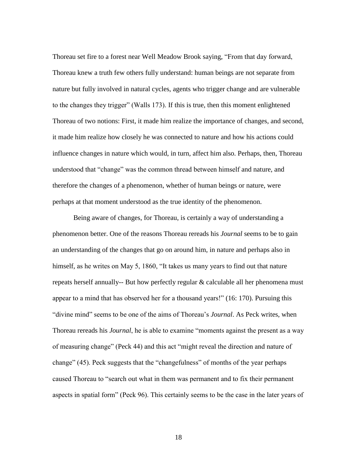Thoreau set fire to a forest near Well Meadow Brook saying, "From that day forward, Thoreau knew a truth few others fully understand: human beings are not separate from nature but fully involved in natural cycles, agents who trigger change and are vulnerable to the changes they trigger" (Walls 173). If this is true, then this moment enlightened Thoreau of two notions: First, it made him realize the importance of changes, and second, it made him realize how closely he was connected to nature and how his actions could influence changes in nature which would, in turn, affect him also. Perhaps, then, Thoreau understood that "change" was the common thread between himself and nature, and therefore the changes of a phenomenon, whether of human beings or nature, were perhaps at that moment understood as the true identity of the phenomenon.

Being aware of changes, for Thoreau, is certainly a way of understanding a phenomenon better. One of the reasons Thoreau rereads his *Journal* seems to be to gain an understanding of the changes that go on around him, in nature and perhaps also in himself, as he writes on May 5, 1860, "It takes us many years to find out that nature repeats herself annually-- But how perfectly regular & calculable all her phenomena must appear to a mind that has observed her for a thousand years!" (16: 170). Pursuing this "divine mind" seems to be one of the aims of Thoreau's *Journal*. As Peck writes, when Thoreau rereads his *Journal*, he is able to examine "moments against the present as a way of measuring change" (Peck 44) and this act "might reveal the direction and nature of change" (45). Peck suggests that the "changefulness" of months of the year perhaps caused Thoreau to "search out what in them was permanent and to fix their permanent aspects in spatial form" (Peck 96). This certainly seems to be the case in the later years of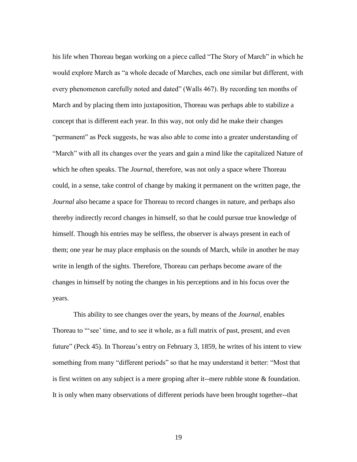his life when Thoreau began working on a piece called "The Story of March" in which he would explore March as "a whole decade of Marches, each one similar but different, with every phenomenon carefully noted and dated" (Walls 467). By recording ten months of March and by placing them into juxtaposition, Thoreau was perhaps able to stabilize a concept that is different each year. In this way, not only did he make their changes "permanent" as Peck suggests, he was also able to come into a greater understanding of "March" with all its changes over the years and gain a mind like the capitalized Nature of which he often speaks. The *Journal*, therefore, was not only a space where Thoreau could, in a sense, take control of change by making it permanent on the written page, the *Journal* also became a space for Thoreau to record changes in nature, and perhaps also thereby indirectly record changes in himself, so that he could pursue true knowledge of himself. Though his entries may be selfless, the observer is always present in each of them; one year he may place emphasis on the sounds of March, while in another he may write in length of the sights. Therefore, Thoreau can perhaps become aware of the changes in himself by noting the changes in his perceptions and in his focus over the years.

This ability to see changes over the years, by means of the *Journal*, enables Thoreau to "see' time, and to see it whole, as a full matrix of past, present, and even future" (Peck 45). In Thoreau's entry on February 3, 1859, he writes of his intent to view something from many "different periods" so that he may understand it better: "Most that is first written on any subject is a mere groping after it--mere rubble stone  $\&$  foundation. It is only when many observations of different periods have been brought together--that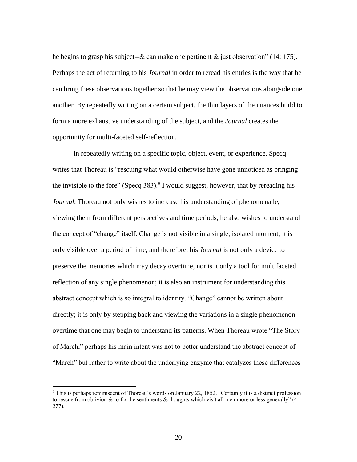he begins to grasp his subject--& can make one pertinent & just observation" (14: 175). Perhaps the act of returning to his *Journal* in order to reread his entries is the way that he can bring these observations together so that he may view the observations alongside one another. By repeatedly writing on a certain subject, the thin layers of the nuances build to form a more exhaustive understanding of the subject, and the *Journal* creates the opportunity for multi-faceted self-reflection.

In repeatedly writing on a specific topic, object, event, or experience, Specq writes that Thoreau is "rescuing what would otherwise have gone unnoticed as bringing the invisible to the fore" (Specq 383).<sup>8</sup> I would suggest, however, that by rereading his *Journal*, Thoreau not only wishes to increase his understanding of phenomena by viewing them from different perspectives and time periods, he also wishes to understand the concept of "change" itself. Change is not visible in a single, isolated moment; it is only visible over a period of time, and therefore, his *Journal* is not only a device to preserve the memories which may decay overtime, nor is it only a tool for multifaceted reflection of any single phenomenon; it is also an instrument for understanding this abstract concept which is so integral to identity. "Change" cannot be written about directly; it is only by stepping back and viewing the variations in a single phenomenon overtime that one may begin to understand its patterns. When Thoreau wrote "The Story of March," perhaps his main intent was not to better understand the abstract concept of "March" but rather to write about the underlying enzyme that catalyzes these differences

<sup>8</sup> This is perhaps reminiscent of Thoreau's words on January 22, 1852, "Certainly it is a distinct profession to rescue from oblivion  $\&$  to fix the sentiments  $\&$  thoughts which visit all men more or less generally" (4: 277).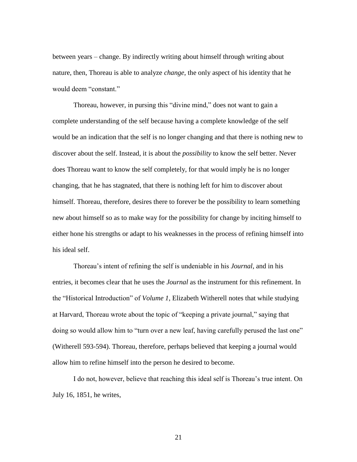between years – change. By indirectly writing about himself through writing about nature, then, Thoreau is able to analyze *change*, the only aspect of his identity that he would deem "constant."

Thoreau, however, in pursing this "divine mind," does not want to gain a complete understanding of the self because having a complete knowledge of the self would be an indication that the self is no longer changing and that there is nothing new to discover about the self. Instead, it is about the *possibility* to know the self better. Never does Thoreau want to know the self completely, for that would imply he is no longer changing, that he has stagnated, that there is nothing left for him to discover about himself. Thoreau, therefore, desires there to forever be the possibility to learn something new about himself so as to make way for the possibility for change by inciting himself to either hone his strengths or adapt to his weaknesses in the process of refining himself into his ideal self.

Thoreau's intent of refining the self is undeniable in his *Journal*, and in his entries, it becomes clear that he uses the *Journal* as the instrument for this refinement. In the "Historical Introduction" of *Volume 1*, Elizabeth Witherell notes that while studying at Harvard, Thoreau wrote about the topic of "keeping a private journal," saying that doing so would allow him to "turn over a new leaf, having carefully perused the last one" (Witherell 593-594). Thoreau, therefore, perhaps believed that keeping a journal would allow him to refine himself into the person he desired to become.

I do not, however, believe that reaching this ideal self is Thoreau's true intent. On July 16, 1851, he writes,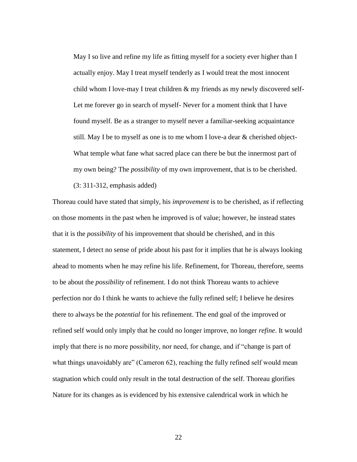May I so live and refine my life as fitting myself for a society ever higher than I actually enjoy. May I treat myself tenderly as I would treat the most innocent child whom I love-may I treat children & my friends as my newly discovered self-Let me forever go in search of myself- Never for a moment think that I have found myself. Be as a stranger to myself never a familiar-seeking acquaintance still. May I be to myself as one is to me whom I love-a dear  $\&$  cherished object-What temple what fane what sacred place can there be but the innermost part of my own being? The *possibility* of my own improvement, that is to be cherished. (3: 311-312, emphasis added)

Thoreau could have stated that simply, his *improvement* is to be cherished, as if reflecting on those moments in the past when he improved is of value; however, he instead states that it is the *possibility* of his improvement that should be cherished, and in this statement, I detect no sense of pride about his past for it implies that he is always looking ahead to moments when he may refine his life. Refinement, for Thoreau, therefore, seems to be about the *possibility* of refinement. I do not think Thoreau wants to achieve perfection nor do I think he wants to achieve the fully refined self; I believe he desires there to always be the *potential* for his refinement. The end goal of the improved or refined self would only imply that he could no longer improve, no longer *refine*. It would imply that there is no more possibility, nor need, for change, and if "change is part of what things unavoidably are" (Cameron 62), reaching the fully refined self would mean stagnation which could only result in the total destruction of the self. Thoreau glorifies Nature for its changes as is evidenced by his extensive calendrical work in which he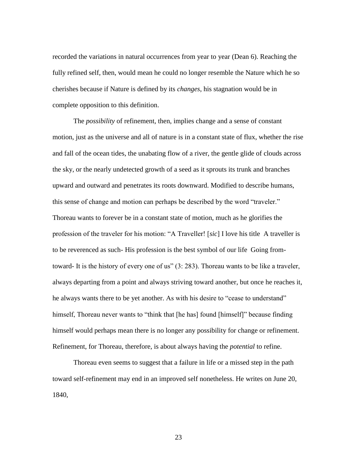recorded the variations in natural occurrences from year to year (Dean 6). Reaching the fully refined self, then, would mean he could no longer resemble the Nature which he so cherishes because if Nature is defined by its *changes*, his stagnation would be in complete opposition to this definition.

The *possibility* of refinement, then, implies change and a sense of constant motion, just as the universe and all of nature is in a constant state of flux, whether the rise and fall of the ocean tides, the unabating flow of a river, the gentle glide of clouds across the sky, or the nearly undetected growth of a seed as it sprouts its trunk and branches upward and outward and penetrates its roots downward. Modified to describe humans, this sense of change and motion can perhaps be described by the word "traveler." Thoreau wants to forever be in a constant state of motion, much as he glorifies the profession of the traveler for his motion: "A Traveller! [*sic*] I love his title A traveller is to be reverenced as such- His profession is the best symbol of our life Going fromtoward- It is the history of every one of us" (3: 283). Thoreau wants to be like a traveler, always departing from a point and always striving toward another, but once he reaches it, he always wants there to be yet another. As with his desire to "cease to understand" himself, Thoreau never wants to "think that [he has] found [himself]" because finding himself would perhaps mean there is no longer any possibility for change or refinement. Refinement, for Thoreau, therefore, is about always having the *potential* to refine.

Thoreau even seems to suggest that a failure in life or a missed step in the path toward self-refinement may end in an improved self nonetheless. He writes on June 20, 1840,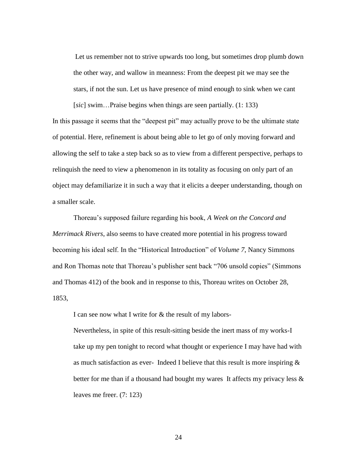Let us remember not to strive upwards too long, but sometimes drop plumb down the other way, and wallow in meanness: From the deepest pit we may see the stars, if not the sun. Let us have presence of mind enough to sink when we cant

In this passage it seems that the "deepest pit" may actually prove to be the ultimate state of potential. Here, refinement is about being able to let go of only moving forward and allowing the self to take a step back so as to view from a different perspective, perhaps to relinquish the need to view a phenomenon in its totality as focusing on only part of an object may defamiliarize it in such a way that it elicits a deeper understanding, though on a smaller scale.

[*sic*] swim…Praise begins when things are seen partially. (1: 133)

Thoreau's supposed failure regarding his book, *A Week on the Concord and Merrimack Rivers*, also seems to have created more potential in his progress toward becoming his ideal self. In the "Historical Introduction" of *Volume 7*, Nancy Simmons and Ron Thomas note that Thoreau's publisher sent back "706 unsold copies" (Simmons and Thomas 412) of the book and in response to this, Thoreau writes on October 28, 1853,

I can see now what I write for & the result of my labors-

Nevertheless, in spite of this result-sitting beside the inert mass of my works-I take up my pen tonight to record what thought or experience I may have had with as much satisfaction as ever- Indeed I believe that this result is more inspiring & better for me than if a thousand had bought my wares It affects my privacy less  $\&$ leaves me freer. (7: 123)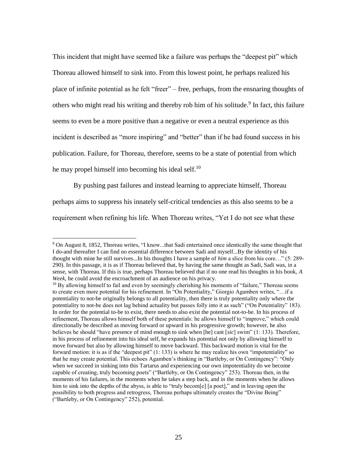This incident that might have seemed like a failure was perhaps the "deepest pit" which Thoreau allowed himself to sink into. From this lowest point, he perhaps realized his place of infinite potential as he felt "freer" – free, perhaps, from the ensnaring thoughts of others who might read his writing and thereby rob him of his solitude.<sup>9</sup> In fact, this failure seems to even be a more positive than a negative or even a neutral experience as this incident is described as "more inspiring" and "better" than if he had found success in his publication. Failure, for Thoreau, therefore, seems to be a state of potential from which he may propel himself into becoming his ideal self.<sup>10</sup>

By pushing past failures and instead learning to appreciate himself, Thoreau perhaps aims to suppress his innately self-critical tendencies as this also seems to be a requirement when refining his life. When Thoreau writes, "Yet I do not see what these

<sup>9</sup> On August 8, 1852, Thoreau writes, "I know...that Sadi entertained once identically the same thought that I do-and thereafter I can find no essential difference between Sadi and myself...By the identity of his thought with mine he still survives...In his thoughts I have a sample of *him* a slice from his core…" (5: 289- 290). In this passage, it is as if Thoreau believed that, by having the same thought as Sadi, Sadi was, in a sense, with Thoreau. If this is true, perhaps Thoreau believed that if no one read his thoughts in his book, *A Week*, he could avoid the encroachment of an audience on his privacy.

 $10$  By allowing himself to fail and even by seemingly cherishing his moments of "failure," Thoreau seems to create even more potential for his refinement. In "On Potentiality," Giorgio Agamben writes, "…if a potentiality to not-be originally belongs to all potentiality, then there is truly potentiality only where the potentiality to not-be does not lag behind actuality but passes folly into it as such" ("On Potentiality" 183). In order for the potential to-be to exist, there needs to also exist the potential not-to-be. In his process of refinement, Thoreau allows himself both of these potentials: he allows himself to "improve," which could directionally be described as moving forward or upward in his progressive growth; however, he also believes he should "have presence of mind enough to sink when [he] cant [*sic*] swim" (1: 133). Therefore, in his process of refinement into his ideal self, he expands his potential not only by allowing himself to move forward but also by allowing himself to move backward. This backward motion is vital for the forward motion: it is as if the "deepest pit" (1: 133) is where he may realize his own "impotentiality" so that he may create potential. This echoes Agamben's thinking in "Bartleby, or On Contingency": "Only when we succeed in sinking into this Tartarus and experiencing our own impotentiality do we become capable of creating, truly becoming poets" ("Bartleby, or On Contingency" 253). Thoreau then, in the moments of his failures, in the moments when he takes a step back, and in the moments when he allows him to sink into the depths of the abyss, is able to "truly becom[e] [a poet]," and in leaving open the possibility to both progress and retrogress, Thoreau perhaps ultimately creates the "Divine Being" ("Bartleby, or On Contingency" 252), potential.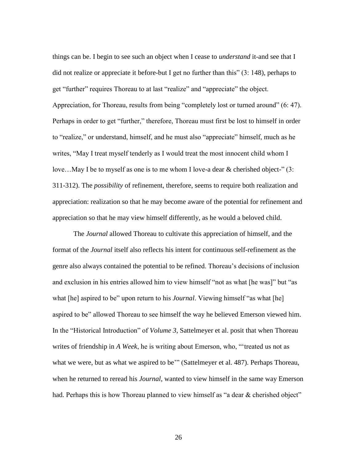things can be. I begin to see such an object when I cease to *understand* it-and see that I did not realize or appreciate it before-but I get no further than this" (3: 148), perhaps to get "further" requires Thoreau to at last "realize" and "appreciate" the object. Appreciation, for Thoreau, results from being "completely lost or turned around" (6: 47). Perhaps in order to get "further," therefore, Thoreau must first be lost to himself in order to "realize," or understand, himself, and he must also "appreciate" himself, much as he writes, "May I treat myself tenderly as I would treat the most innocent child whom I love...May I be to myself as one is to me whom I love-a dear & cherished object-" (3: 311-312). The *possibility* of refinement, therefore, seems to require both realization and appreciation: realization so that he may become aware of the potential for refinement and appreciation so that he may view himself differently, as he would a beloved child.

The *Journal* allowed Thoreau to cultivate this appreciation of himself, and the format of the *Journal* itself also reflects his intent for continuous self-refinement as the genre also always contained the potential to be refined. Thoreau's decisions of inclusion and exclusion in his entries allowed him to view himself "not as what [he was]" but "as what [he] aspired to be" upon return to his *Journal*. Viewing himself "as what [he] aspired to be" allowed Thoreau to see himself the way he believed Emerson viewed him. In the "Historical Introduction" of *Volume 3*, Sattelmeyer et al. posit that when Thoreau writes of friendship in *A Week*, he is writing about Emerson, who, "'treated us not as what we were, but as what we aspired to be" (Sattelmeyer et al. 487). Perhaps Thoreau, when he returned to reread his *Journal*, wanted to view himself in the same way Emerson had. Perhaps this is how Thoreau planned to view himself as "a dear & cherished object"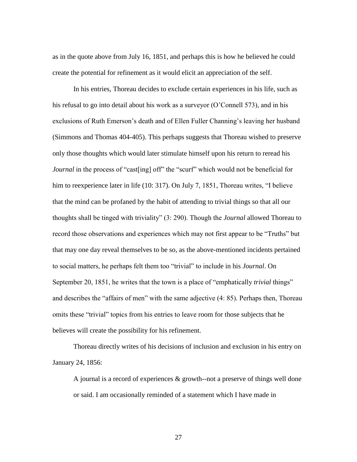as in the quote above from July 16, 1851, and perhaps this is how he believed he could create the potential for refinement as it would elicit an appreciation of the self.

In his entries, Thoreau decides to exclude certain experiences in his life, such as his refusal to go into detail about his work as a surveyor (O'Connell 573), and in his exclusions of Ruth Emerson's death and of Ellen Fuller Channing's leaving her husband (Simmons and Thomas 404-405). This perhaps suggests that Thoreau wished to preserve only those thoughts which would later stimulate himself upon his return to reread his *Journal* in the process of "cast [ing] off" the "scurf" which would not be beneficial for him to reexperience later in life (10: 317). On July 7, 1851, Thoreau writes, "I believe that the mind can be profaned by the habit of attending to trivial things so that all our thoughts shall be tinged with triviality" (3: 290). Though the *Journal* allowed Thoreau to record those observations and experiences which may not first appear to be "Truths" but that may one day reveal themselves to be so, as the above-mentioned incidents pertained to social matters, he perhaps felt them too "trivial" to include in his *Journal*. On September 20, 1851, he writes that the town is a place of "emphatically *trivial* things" and describes the "affairs of men" with the same adjective (4: 85). Perhaps then, Thoreau omits these "trivial" topics from his entries to leave room for those subjects that he believes will create the possibility for his refinement.

Thoreau directly writes of his decisions of inclusion and exclusion in his entry on January 24, 1856:

A journal is a record of experiences & growth--not a preserve of things well done or said. I am occasionally reminded of a statement which I have made in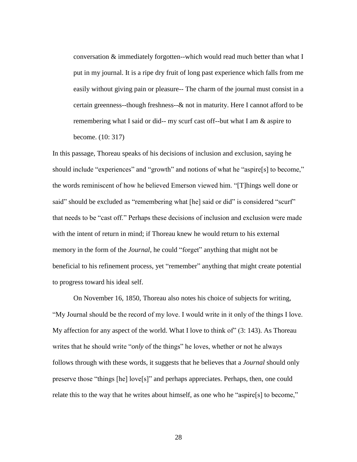conversation & immediately forgotten--which would read much better than what I put in my journal. It is a ripe dry fruit of long past experience which falls from me easily without giving pain or pleasure-- The charm of the journal must consist in a certain greenness--though freshness--& not in maturity. Here I cannot afford to be remembering what I said or did-- my scurf cast off--but what I am & aspire to become. (10: 317)

In this passage, Thoreau speaks of his decisions of inclusion and exclusion, saying he should include "experiences" and "growth" and notions of what he "aspire[s] to become," the words reminiscent of how he believed Emerson viewed him. "[T]hings well done or said" should be excluded as "remembering what [he] said or did" is considered "scurf" that needs to be "cast off." Perhaps these decisions of inclusion and exclusion were made with the intent of return in mind; if Thoreau knew he would return to his external memory in the form of the *Journal*, he could "forget" anything that might not be beneficial to his refinement process, yet "remember" anything that might create potential to progress toward his ideal self.

On November 16, 1850, Thoreau also notes his choice of subjects for writing, "My Journal should be the record of my love. I would write in it only of the things I love. My affection for any aspect of the world. What I love to think of" (3: 143). As Thoreau writes that he should write "*only* of the things" he loves, whether or not he always follows through with these words, it suggests that he believes that a *Journal* should only preserve those "things [he] love[s]" and perhaps appreciates. Perhaps, then, one could relate this to the way that he writes about himself, as one who he "aspire[s] to become,"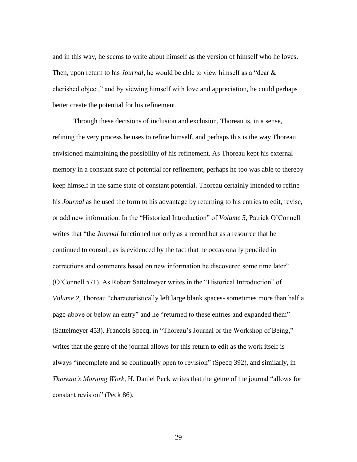and in this way, he seems to write about himself as the version of himself who he loves. Then, upon return to his *Journal*, he would be able to view himself as a "dear & cherished object," and by viewing himself with love and appreciation, he could perhaps better create the potential for his refinement.

Through these decisions of inclusion and exclusion, Thoreau is, in a sense, refining the very process he uses to refine himself, and perhaps this is the way Thoreau envisioned maintaining the possibility of his refinement. As Thoreau kept his external memory in a constant state of potential for refinement, perhaps he too was able to thereby keep himself in the same state of constant potential. Thoreau certainly intended to refine his *Journal* as he used the form to his advantage by returning to his entries to edit, revise, or add new information. In the "Historical Introduction" of *Volume 5*, Patrick O'Connell writes that "the *Journal* functioned not only as a record but as a resource that he continued to consult, as is evidenced by the fact that he occasionally penciled in corrections and comments based on new information he discovered some time later" (O'Connell 571). As Robert Sattelmeyer writes in the "Historical Introduction" of *Volume 2*, Thoreau "characteristically left large blank spaces- sometimes more than half a page-above or below an entry" and he "returned to these entries and expanded them" (Sattelmeyer 453). Francois Specq, in "Thoreau's Journal or the Workshop of Being," writes that the genre of the journal allows for this return to edit as the work itself is always "incomplete and so continually open to revision" (Specq 392), and similarly, in *Thoreau's Morning Work*, H. Daniel Peck writes that the genre of the journal "allows for constant revision" (Peck 86).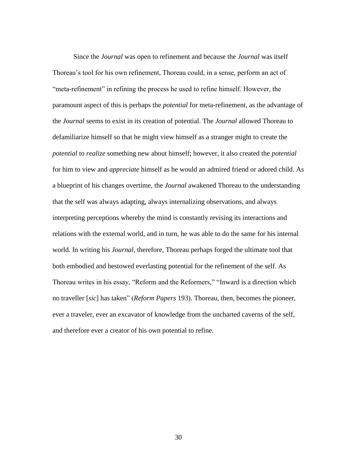Since the *Journal* was open to refinement and because the *Journal* was itself Thoreau's tool for his own refinement, Thoreau could, in a sense, perform an act of "meta-refinement" in refining the process he used to refine himself. However, the paramount aspect of this is perhaps the *potential* for meta-refinement, as the advantage of the *Journal* seems to exist in its creation of potential. The *Journal* allowed Thoreau to defamiliarize himself so that he might view himself as a stranger might to create the *potential* to *realize* something new about himself; however, it also created the *potential* for him to view and *appreciate* himself as he would an admired friend or adored child. As a blueprint of his changes overtime, the *Journal* awakened Thoreau to the understanding that the self was always adapting, always internalizing observations, and always interpreting perceptions whereby the mind is constantly revising its interactions and relations with the external world, and in turn, he was able to do the same for his internal world. In writing his *Journal*, therefore, Thoreau perhaps forged the ultimate tool that both embodied and bestowed everlasting potential for the refinement of the self. As Thoreau writes in his essay, "Reform and the Reformers," "Inward is a direction which no traveller [*sic*] has taken" (*Reform Papers* 193). Thoreau, then, becomes the pioneer, ever a traveler, ever an excavator of knowledge from the uncharted caverns of the self, and therefore ever a creator of his own potential to refine.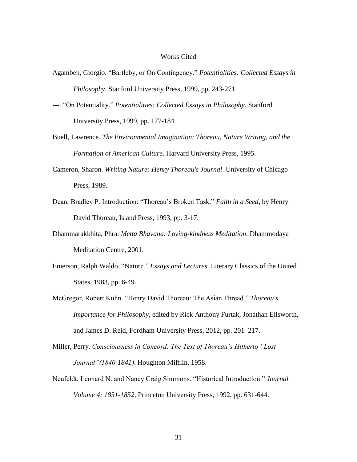#### Works Cited

- Agamben, Giorgio. "Bartleby, or On Contingency." *Potentialities: Collected Essays in Philosophy*. Stanford University Press, 1999, pp. 243-271.
- ---. "On Potentiality." *Potentialities: Collected Essays in Philosophy*. Stanford University Press, 1999, pp. 177-184.
- Buell, Lawrence. *The Environmental Imagination: Thoreau, Nature Writing, and the Formation of American Culture*. Harvard University Press, 1995.
- Cameron, Sharon. *Writing Nature: Henry Thoreau's Journal*. University of Chicago Press, 1989.
- Dean, Bradley P. Introduction: "Thoreau's Broken Task." *Faith in a Seed*, by Henry David Thoreau, Island Press, 1993, pp. 3-17.
- Dhammarakkhita, Phra. *Metta Bhavana: Loving-kindness Meditation*. Dhammodaya Meditation Centre, 2001.
- Emerson, Ralph Waldo. "Nature." *Essays and Lectures*. Literary Classics of the United States, 1983, pp. 6-49.
- McGregor, Robert Kuhn. "Henry David Thoreau: The Asian Thread." *Thoreau's Importance for Philosophy*, edited by Rick Anthony Furtak, Jonathan Ellsworth, and James D. Reid, Fordham University Press, 2012, pp. 201–217.
- Miller, Perry. *Consciousness in Concord: The Text of Thoreau's Hitherto "Lost Journal"(1840-1841)*. Houghton Mifflin, 1958.
- Neufeldt, Leonard N. and Nancy Craig Simmons. "Historical Introduction." *Journal Volume 4: 1851-1852*, Princeton University Press, 1992, pp. 631-644.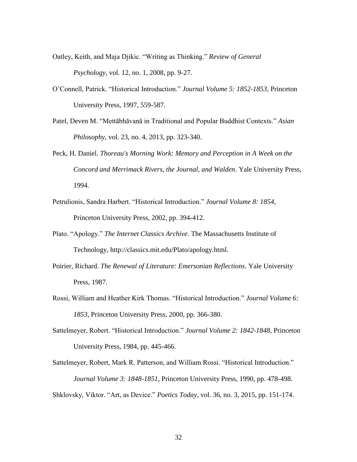- Oatley, Keith, and Maja Djikic. "Writing as Thinking." *Review of General Psychology*, vol. 12, no. 1, 2008, pp. 9-27.
- O'Connell, Patrick. "Historical Introduction." *Journal Volume 5: 1852-1853*, Princeton University Press, 1997, 559-587.
- Patel, Deven M. "Mettābhāvanā in Traditional and Popular Buddhist Contexts." *Asian Philosophy*, vol. 23, no. 4, 2013, pp. 323-340.
- Peck, H. Daniel. *Thoreau's Morning Work: Memory and Perception in A Week on the Concord and Merrimack Rivers, the Journal, and Walden*. Yale University Press, 1994.
- Petrulionis, Sandra Harbert. "Historical Introduction." *Journal Volume 8: 1854*, Princeton University Press, 2002, pp. 394-412.
- Plato. "Apology." *The Internet Classics Archive*. The Massachusetts Institute of Technology, http://classics.mit.edu/Plato/apology.html.
- Poirier, Richard. *The Renewal of Literature: Emersonian Reflections*. Yale University Press, 1987.
- Rossi, William and Heather Kirk Thomas. "Historical Introduction." *Journal Volume 6: 1853*, Princeton University Press, 2000, pp. 366-380.
- Sattelmeyer, Robert. "Historical Introduction." *Journal Volume 2: 1842-1848*, Princeton University Press, 1984, pp. 445-466.
- Sattelmeyer, Robert, Mark R. Patterson, and William Rossi. "Historical Introduction." *Journal Volume 3: 1848-1851*, Princeton University Press, 1990, pp. 478-498. Shklovsky, Viktor. "Art, as Device." *Poetics Today*, vol. 36, no. 3, 2015, pp. 151-174.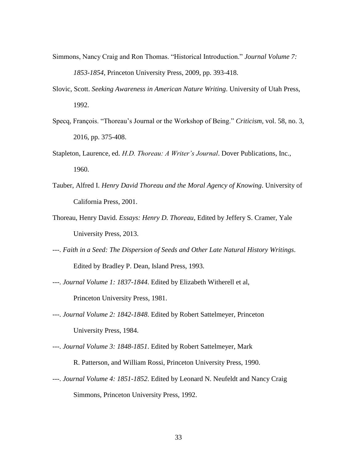- Simmons, Nancy Craig and Ron Thomas. "Historical Introduction." *Journal Volume 7: 1853-1854*, Princeton University Press, 2009, pp. 393-418.
- Slovic, Scott. *Seeking Awareness in American Nature Writing*. University of Utah Press, 1992.
- Specq, François. "Thoreau's Journal or the Workshop of Being." *Criticism*, vol. 58, no. 3, 2016, pp. 375-408.
- Stapleton, Laurence, ed. *H.D. Thoreau: A Writer's Journal*. Dover Publications, Inc., 1960.
- Tauber, Alfred I. *Henry David Thoreau and the Moral Agency of Knowing*. University of California Press, 2001.
- Thoreau, Henry David. *Essays: Henry D. Thoreau*, Edited by Jeffery S. Cramer, Yale University Press, 2013.
- ---. *Faith in a Seed: The Dispersion of Seeds and Other Late Natural History Writings*. Edited by Bradley P. Dean, Island Press, 1993.
- ---. *Journal Volume 1: 1837-1844*. Edited by Elizabeth Witherell et al,

Princeton University Press, 1981.

- ---. *Journal Volume 2: 1842-1848*. Edited by Robert Sattelmeyer, Princeton University Press, 1984.
- ---. *Journal Volume 3: 1848-1851*. Edited by Robert Sattelmeyer, Mark

R. Patterson, and William Rossi, Princeton University Press, 1990.

---. *Journal Volume 4: 1851-1852*. Edited by Leonard N. Neufeldt and Nancy Craig Simmons, Princeton University Press, 1992.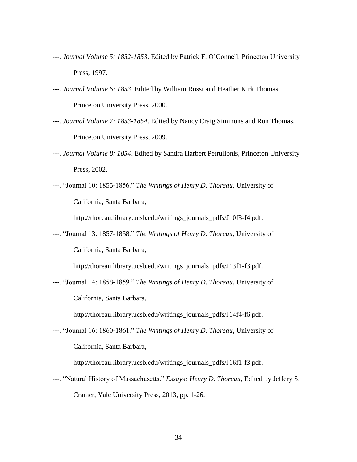- ---. *Journal Volume 5: 1852-1853*. Edited by Patrick F. O'Connell, Princeton University Press, 1997.
- ---. *Journal Volume 6: 1853*. Edited by William Rossi and Heather Kirk Thomas, Princeton University Press, 2000.
- ---. *Journal Volume 7: 1853-1854*. Edited by Nancy Craig Simmons and Ron Thomas, Princeton University Press, 2009.
- ---. *Journal Volume 8: 1854*. Edited by Sandra Harbert Petrulionis, Princeton University Press, 2002.
- ---. "Journal 10: 1855-1856." *The Writings of Henry D. Thoreau*, University of California, Santa Barbara,

[http://thoreau.library.ucsb.edu/writings\\_journals\\_pdfs/J10f3-f](http://thoreau.library.ucsb.edu/writings_journals_pdfs/J10f3-)4.pdf.

---. "Journal 13: 1857-1858." *The Writings of Henry D. Thoreau*, University of California, Santa Barbara,

[http://thoreau.library.ucsb.edu/writings\\_journals\\_pdfs/J13f1-f](http://thoreau.library.ucsb.edu/writings_journals_pdfs/J13f1-)3.pdf.

---. "Journal 14: 1858-1859." *The Writings of Henry D. Thoreau*, University of California, Santa Barbara,

[http://thoreau.library.ucsb.edu/writings\\_journals\\_pdfs/J14f4-f](http://thoreau.library.ucsb.edu/writings_journals_pdfs/J14f4-)6.pdf.

---. "Journal 16: 1860-1861." *The Writings of Henry D. Thoreau*, University of California, Santa Barbara,

[http://thoreau.library.ucsb.edu/writings\\_journals\\_pdfs/J16f1-f](http://thoreau.library.ucsb.edu/writings_journals_pdfs/J16f1-)3.pdf.

---. "Natural History of Massachusetts." *Essays: Henry D. Thoreau*, Edited by Jeffery S. Cramer, Yale University Press, 2013, pp. 1-26.